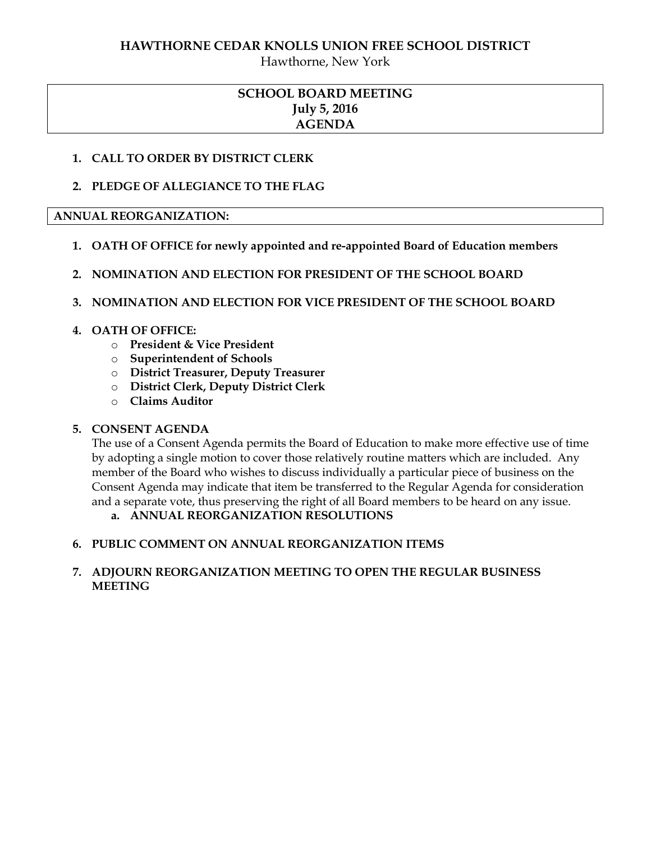# **HAWTHORNE CEDAR KNOLLS UNION FREE SCHOOL DISTRICT**

Hawthorne, New York

# **SCHOOL BOARD MEETING July 5, 2016 AGENDA**

# **1. CALL TO ORDER BY DISTRICT CLERK**

# **2. PLEDGE OF ALLEGIANCE TO THE FLAG**

# **ANNUAL REORGANIZATION:**

- **1. OATH OF OFFICE for newly appointed and re-appointed Board of Education members**
- **2. NOMINATION AND ELECTION FOR PRESIDENT OF THE SCHOOL BOARD**

# **3. NOMINATION AND ELECTION FOR VICE PRESIDENT OF THE SCHOOL BOARD**

# **4. OATH OF OFFICE:**

- o **President & Vice President**
- o **Superintendent of Schools**
- o **District Treasurer, Deputy Treasurer**
- o **District Clerk, Deputy District Clerk**
- o **Claims Auditor**

# **5. CONSENT AGENDA**

The use of a Consent Agenda permits the Board of Education to make more effective use of time by adopting a single motion to cover those relatively routine matters which are included. Any member of the Board who wishes to discuss individually a particular piece of business on the Consent Agenda may indicate that item be transferred to the Regular Agenda for consideration and a separate vote, thus preserving the right of all Board members to be heard on any issue.

# **a. ANNUAL REORGANIZATION RESOLUTIONS**

# **6. PUBLIC COMMENT ON ANNUAL REORGANIZATION ITEMS**

# **7. ADJOURN REORGANIZATION MEETING TO OPEN THE REGULAR BUSINESS MEETING**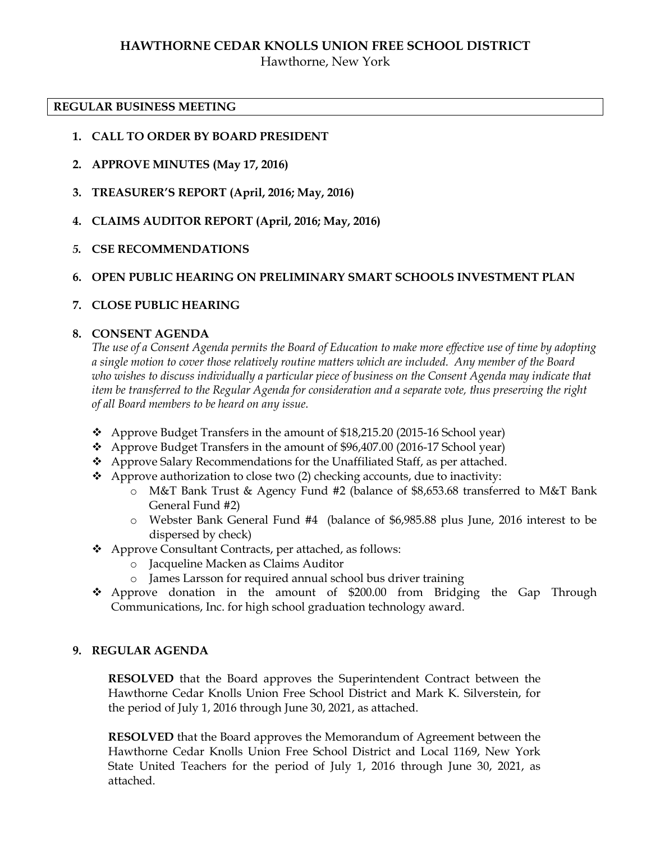# **HAWTHORNE CEDAR KNOLLS UNION FREE SCHOOL DISTRICT**

Hawthorne, New York

#### **REGULAR BUSINESS MEETING**

- **1. CALL TO ORDER BY BOARD PRESIDENT**
- **2. APPROVE MINUTES (May 17, 2016)**
- **3. TREASURER'S REPORT (April, 2016; May, 2016)**
- **4. CLAIMS AUDITOR REPORT (April, 2016; May, 2016)**
- *5.* **CSE RECOMMENDATIONS**

# **6. OPEN PUBLIC HEARING ON PRELIMINARY SMART SCHOOLS INVESTMENT PLAN**

# **7. CLOSE PUBLIC HEARING**

# **8. CONSENT AGENDA**

*The use of a Consent Agenda permits the Board of Education to make more effective use of time by adopting a single motion to cover those relatively routine matters which are included. Any member of the Board who wishes to discuss individually a particular piece of business on the Consent Agenda may indicate that item be transferred to the Regular Agenda for consideration and a separate vote, thus preserving the right of all Board members to be heard on any issue.* 

- $\bullet$  Approve Budget Transfers in the amount of \$18,215.20 (2015-16 School year)
- Approve Budget Transfers in the amount of \$96,407.00 (2016-17 School year)
- $\triangle$  Approve Salary Recommendations for the Unaffiliated Staff, as per attached.
- $\triangle$  Approve authorization to close two (2) checking accounts, due to inactivity:
	- o M&T Bank Trust & Agency Fund #2 (balance of \$8,653.68 transferred to M&T Bank General Fund #2)
	- o Webster Bank General Fund #4 (balance of \$6,985.88 plus June, 2016 interest to be dispersed by check)
- Approve Consultant Contracts, per attached, as follows:
	- o Jacqueline Macken as Claims Auditor
	- o James Larsson for required annual school bus driver training
- Approve donation in the amount of \$200.00 from Bridging the Gap Through Communications, Inc. for high school graduation technology award.

# **9. REGULAR AGENDA**

**RESOLVED** that the Board approves the Superintendent Contract between the Hawthorne Cedar Knolls Union Free School District and Mark K. Silverstein, for the period of July 1, 2016 through June 30, 2021, as attached.

**RESOLVED** that the Board approves the Memorandum of Agreement between the Hawthorne Cedar Knolls Union Free School District and Local 1169, New York State United Teachers for the period of July 1, 2016 through June 30, 2021, as attached.